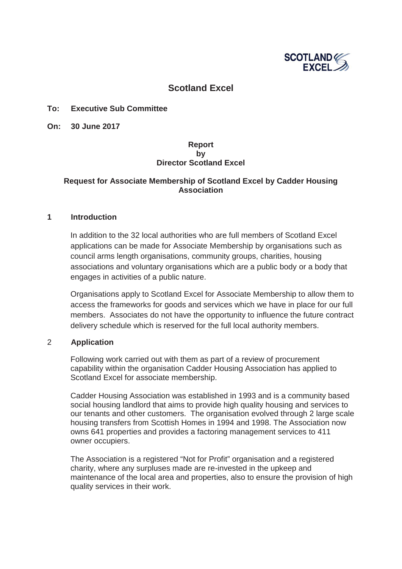

# **Scotland Excel**

### **To: Executive Sub Committee**

**On: 30 June 2017**

### **Report by Director Scotland Excel**

## **Request for Associate Membership of Scotland Excel by Cadder Housing Association**

#### **1 Introduction**

In addition to the 32 local authorities who are full members of Scotland Excel applications can be made for Associate Membership by organisations such as council arms length organisations, community groups, charities, housing associations and voluntary organisations which are a public body or a body that engages in activities of a public nature.

Organisations apply to Scotland Excel for Associate Membership to allow them to access the frameworks for goods and services which we have in place for our full members. Associates do not have the opportunity to influence the future contract delivery schedule which is reserved for the full local authority members.

#### 2 **Application**

Following work carried out with them as part of a review of procurement capability within the organisation Cadder Housing Association has applied to Scotland Excel for associate membership.

Cadder Housing Association was established in 1993 and is a community based social housing landlord that aims to provide high quality housing and services to our tenants and other customers. The organisation evolved through 2 large scale housing transfers from Scottish Homes in 1994 and 1998. The Association now owns 641 properties and provides a factoring management services to 411 owner occupiers.

The Association is a registered "Not for Profit" organisation and a registered charity, where any surpluses made are re-invested in the upkeep and maintenance of the local area and properties, also to ensure the provision of high quality services in their work.